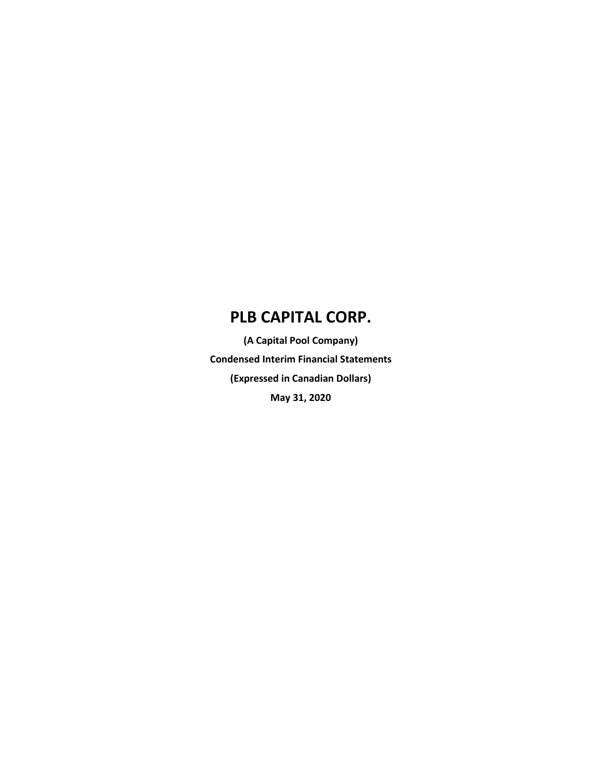**(A Capital Pool Company) Condensed Interim Financial Statements (Expressed in Canadian Dollars) May 31, 2020**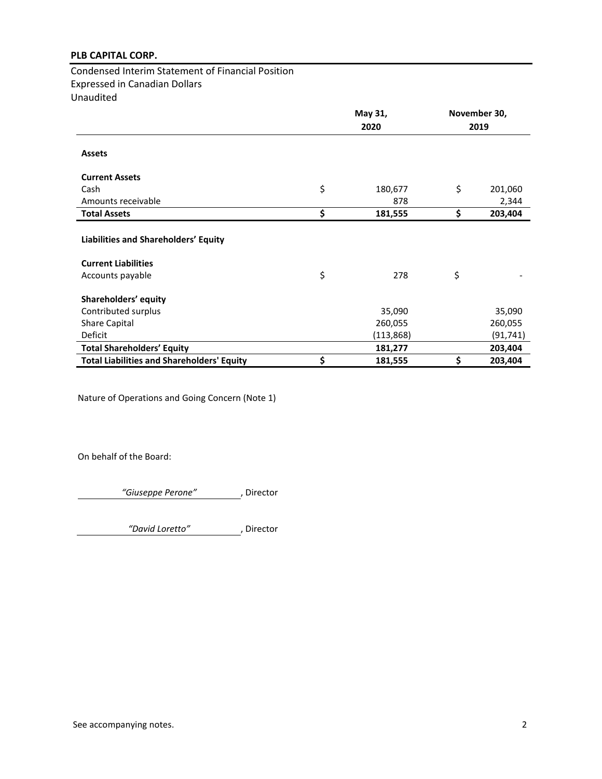Condensed Interim Statement of Financial Position Expressed in Canadian Dollars Unaudited

|                                                                    | May 31, |           | November 30,  |
|--------------------------------------------------------------------|---------|-----------|---------------|
|                                                                    |         | 2020      | 2019          |
| <b>Assets</b>                                                      |         |           |               |
| <b>Current Assets</b>                                              |         |           |               |
| Cash                                                               | \$      | 180,677   | \$<br>201,060 |
| Amounts receivable                                                 |         | 878       | 2,344         |
| <b>Total Assets</b>                                                | \$      | 181,555   | \$<br>203,404 |
| Liabilities and Shareholders' Equity<br><b>Current Liabilities</b> |         |           |               |
| Accounts payable                                                   | \$      | 278       | \$            |
| Shareholders' equity                                               |         |           |               |
| Contributed surplus                                                |         | 35,090    | 35,090        |
| <b>Share Capital</b>                                               |         | 260,055   | 260,055       |
| Deficit                                                            |         | (113,868) | (91,741)      |
| <b>Total Shareholders' Equity</b>                                  |         | 181,277   | 203,404       |
| <b>Total Liabilities and Shareholders' Equity</b>                  | \$      | 181,555   | \$<br>203,404 |

Nature of Operations and Going Concern (Note 1)

On behalf of the Board:

*"Giuseppe Perone"* , Director

*"David Loretto"* , Director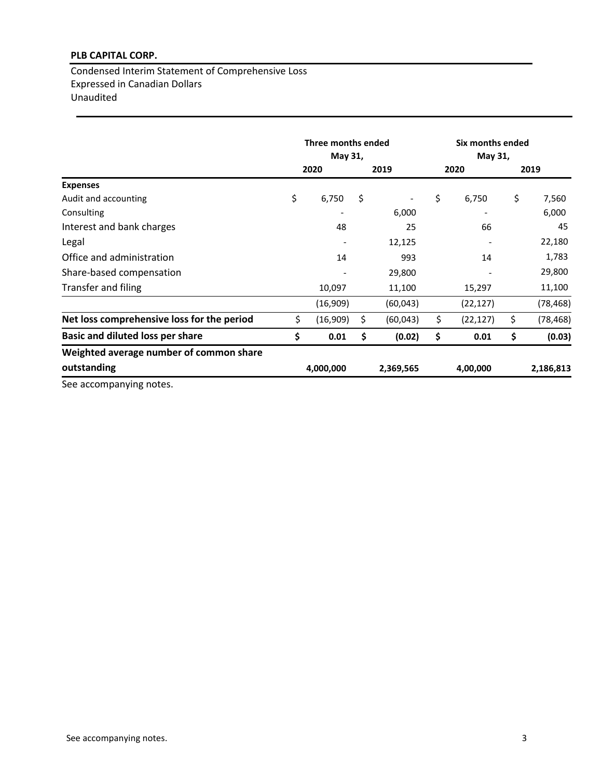Condensed Interim Statement of Comprehensive Loss Expressed in Canadian Dollars Unaudited

|                                            | Three months ended<br>May 31, |           |    |                          | Six months ended<br>May 31, |           |      |           |
|--------------------------------------------|-------------------------------|-----------|----|--------------------------|-----------------------------|-----------|------|-----------|
|                                            |                               | 2020      |    | 2019                     |                             | 2020      | 2019 |           |
| <b>Expenses</b>                            |                               |           |    |                          |                             |           |      |           |
| Audit and accounting                       | \$                            | 6,750     | \$ | $\overline{\phantom{a}}$ | \$                          | 6,750     | \$   | 7,560     |
| Consulting                                 |                               |           |    | 6,000                    |                             |           |      | 6,000     |
| Interest and bank charges                  |                               | 48        |    | 25                       |                             | 66        |      | 45        |
| Legal                                      |                               |           |    | 12,125                   |                             |           |      | 22,180    |
| Office and administration                  |                               | 14        |    | 993                      |                             | 14        |      | 1,783     |
| Share-based compensation                   |                               |           |    | 29,800                   |                             |           |      | 29,800    |
| Transfer and filing                        |                               | 10,097    |    | 11,100                   |                             | 15,297    |      | 11,100    |
|                                            |                               | (16,909)  |    | (60, 043)                |                             | (22, 127) |      | (78, 468) |
| Net loss comprehensive loss for the period | \$                            | (16,909)  | \$ | (60, 043)                | \$                          | (22, 127) | \$   | (78, 468) |
| <b>Basic and diluted loss per share</b>    | \$                            | 0.01      | \$ | (0.02)                   | \$                          | 0.01      | \$   | (0.03)    |
| Weighted average number of common share    |                               |           |    |                          |                             |           |      |           |
| outstanding                                |                               | 4,000,000 |    | 2,369,565                |                             | 4,00,000  |      | 2,186,813 |
| See accompanying notes.                    |                               |           |    |                          |                             |           |      |           |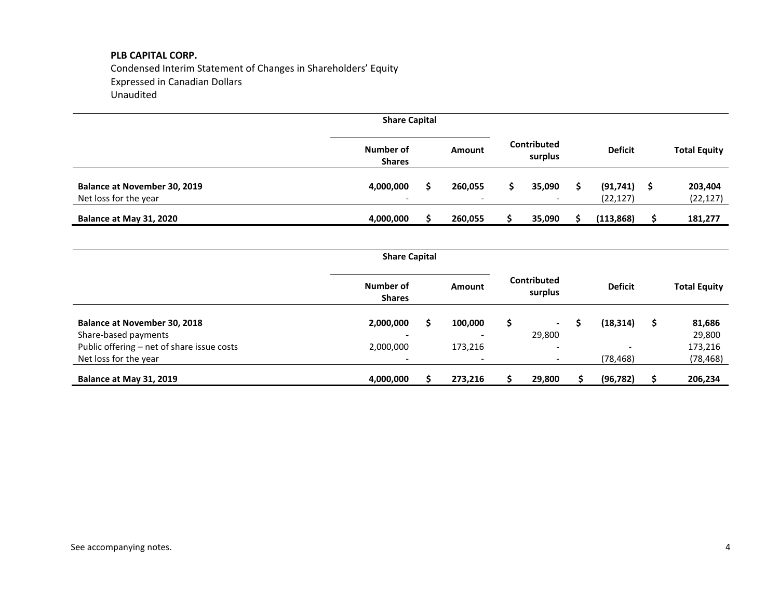Condensed Interim Statement of Changes in Shareholders' Equity Expressed in Canadian Dollars Unaudited

|                                                                                                                                    | <b>Share Capital</b>              |                          |    |                                                      |    |                        |    |                                          |
|------------------------------------------------------------------------------------------------------------------------------------|-----------------------------------|--------------------------|----|------------------------------------------------------|----|------------------------|----|------------------------------------------|
|                                                                                                                                    | <b>Number of</b><br><b>Shares</b> | <b>Amount</b>            |    | Contributed<br>surplus                               |    | <b>Deficit</b>         |    | <b>Total Equity</b>                      |
| <b>Balance at November 30, 2019</b><br>Net loss for the year                                                                       | 4,000,000                         | \$<br>260,055            | \$ | 35,090                                               | \$ | (91, 741)<br>(22, 127) | -S | 203,404<br>(22, 127)                     |
| Balance at May 31, 2020                                                                                                            | 4,000,000                         | \$<br>260,055            | s  | 35,090                                               | S  | (113, 868)             | Ş. | 181,277                                  |
|                                                                                                                                    | <b>Share Capital</b>              |                          |    |                                                      |    |                        |    |                                          |
|                                                                                                                                    | Number of<br><b>Shares</b>        | <b>Amount</b>            |    | <b>Contributed</b><br>surplus                        |    | <b>Deficit</b>         |    | <b>Total Equity</b>                      |
| <b>Balance at November 30, 2018</b><br>Share-based payments<br>Public offering - net of share issue costs<br>Net loss for the year | 2,000,000<br>2,000,000            | \$<br>100,000<br>173,216 | \$ | $\blacksquare$<br>29,800<br>$\overline{\phantom{0}}$ | \$ | (18, 314)<br>(78, 468) | \$ | 81,686<br>29,800<br>173,216<br>(78, 468) |
| Balance at May 31, 2019                                                                                                            | 4,000,000                         | \$<br>273,216            | S. | 29,800                                               | S. | (96, 782)              | \$ | 206,234                                  |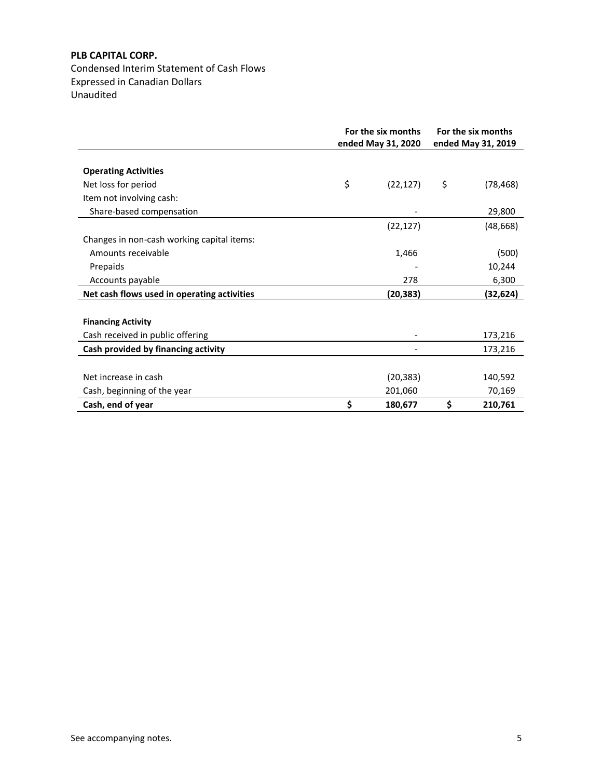Condensed Interim Statement of Cash Flows Expressed in Canadian Dollars Unaudited

|                                             | For the six months<br>ended May 31, 2020 | For the six months<br>ended May 31, 2019 |
|---------------------------------------------|------------------------------------------|------------------------------------------|
|                                             |                                          |                                          |
| <b>Operating Activities</b>                 |                                          |                                          |
| Net loss for period                         | \$<br>(22, 127)                          | \$<br>(78, 468)                          |
| Item not involving cash:                    |                                          |                                          |
| Share-based compensation                    |                                          | 29,800                                   |
|                                             | (22, 127)                                | (48, 668)                                |
| Changes in non-cash working capital items:  |                                          |                                          |
| Amounts receivable                          | 1,466                                    | (500)                                    |
| Prepaids                                    |                                          | 10,244                                   |
| Accounts payable                            | 278                                      | 6,300                                    |
| Net cash flows used in operating activities | (20, 383)                                | (32, 624)                                |
|                                             |                                          |                                          |
| <b>Financing Activity</b>                   |                                          |                                          |
| Cash received in public offering            |                                          | 173,216                                  |
| Cash provided by financing activity         |                                          | 173,216                                  |
|                                             |                                          |                                          |
| Net increase in cash                        | (20, 383)                                | 140,592                                  |
| Cash, beginning of the year                 | 201,060                                  | 70,169                                   |
| Cash, end of year                           | \$<br>180,677                            | \$<br>210,761                            |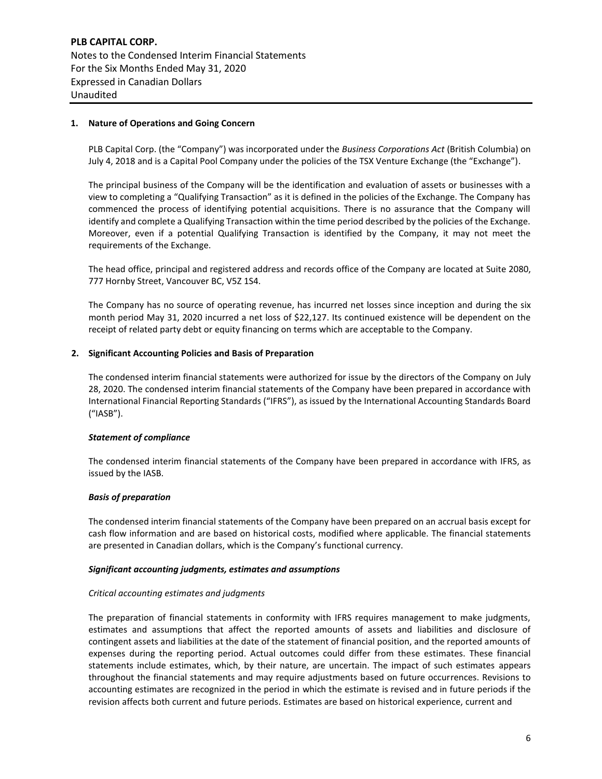**PLB CAPITAL CORP.** Notes to the Condensed Interim Financial Statements For the Six Months Ended May 31, 2020 Expressed in Canadian Dollars Unaudited

# **1. Nature of Operations and Going Concern**

PLB Capital Corp. (the "Company") was incorporated under the *Business Corporations Act* (British Columbia) on July 4, 2018 and is a Capital Pool Company under the policies of the TSX Venture Exchange (the "Exchange").

The principal business of the Company will be the identification and evaluation of assets or businesses with a view to completing a "Qualifying Transaction" as it is defined in the policies of the Exchange. The Company has commenced the process of identifying potential acquisitions. There is no assurance that the Company will identify and complete a Qualifying Transaction within the time period described by the policies of the Exchange. Moreover, even if a potential Qualifying Transaction is identified by the Company, it may not meet the requirements of the Exchange.

The head office, principal and registered address and records office of the Company are located at Suite 2080, 777 Hornby Street, Vancouver BC, V5Z 1S4.

The Company has no source of operating revenue, has incurred net losses since inception and during the six month period May 31, 2020 incurred a net loss of \$22,127. Its continued existence will be dependent on the receipt of related party debt or equity financing on terms which are acceptable to the Company.

# **2. Significant Accounting Policies and Basis of Preparation**

The condensed interim financial statements were authorized for issue by the directors of the Company on July 28, 2020. The condensed interim financial statements of the Company have been prepared in accordance with International Financial Reporting Standards ("IFRS"), as issued by the International Accounting Standards Board ("IASB").

#### *Statement of compliance*

The condensed interim financial statements of the Company have been prepared in accordance with IFRS, as issued by the IASB.

#### *Basis of preparation*

The condensed interim financial statements of the Company have been prepared on an accrual basis except for cash flow information and are based on historical costs, modified where applicable. The financial statements are presented in Canadian dollars, which is the Company's functional currency.

#### *Significant accounting judgments, estimates and assumptions*

#### *Critical accounting estimates and judgments*

The preparation of financial statements in conformity with IFRS requires management to make judgments, estimates and assumptions that affect the reported amounts of assets and liabilities and disclosure of contingent assets and liabilities at the date of the statement of financial position, and the reported amounts of expenses during the reporting period. Actual outcomes could differ from these estimates. These financial statements include estimates, which, by their nature, are uncertain. The impact of such estimates appears throughout the financial statements and may require adjustments based on future occurrences. Revisions to accounting estimates are recognized in the period in which the estimate is revised and in future periods if the revision affects both current and future periods. Estimates are based on historical experience, current and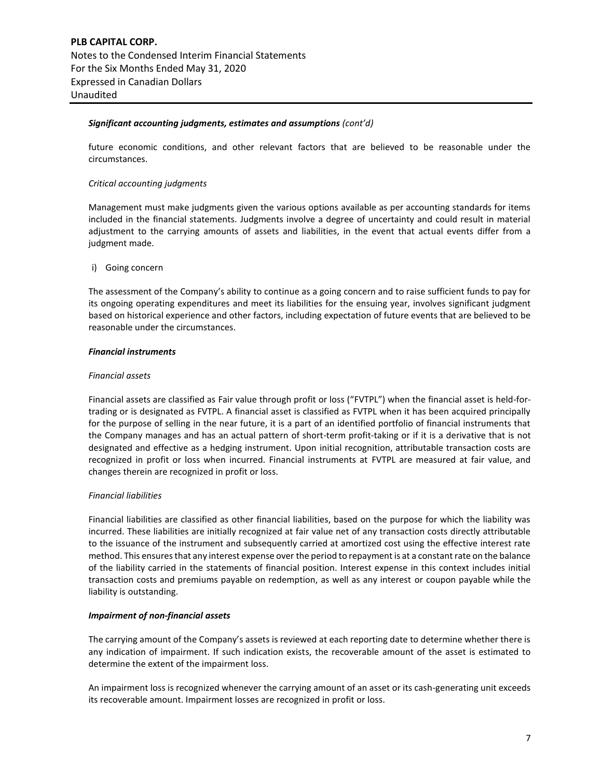# *Significant accounting judgments, estimates and assumptions (cont'd)*

future economic conditions, and other relevant factors that are believed to be reasonable under the circumstances.

# *Critical accounting judgments*

Management must make judgments given the various options available as per accounting standards for items included in the financial statements. Judgments involve a degree of uncertainty and could result in material adjustment to the carrying amounts of assets and liabilities, in the event that actual events differ from a judgment made.

# i) Going concern

The assessment of the Company's ability to continue as a going concern and to raise sufficient funds to pay for its ongoing operating expenditures and meet its liabilities for the ensuing year, involves significant judgment based on historical experience and other factors, including expectation of future events that are believed to be reasonable under the circumstances.

# *Financial instruments*

#### *Financial assets*

Financial assets are classified as Fair value through profit or loss ("FVTPL") when the financial asset is held-fortrading or is designated as FVTPL. A financial asset is classified as FVTPL when it has been acquired principally for the purpose of selling in the near future, it is a part of an identified portfolio of financial instruments that the Company manages and has an actual pattern of short-term profit-taking or if it is a derivative that is not designated and effective as a hedging instrument. Upon initial recognition, attributable transaction costs are recognized in profit or loss when incurred. Financial instruments at FVTPL are measured at fair value, and changes therein are recognized in profit or loss.

# *Financial liabilities*

Financial liabilities are classified as other financial liabilities, based on the purpose for which the liability was incurred. These liabilities are initially recognized at fair value net of any transaction costs directly attributable to the issuance of the instrument and subsequently carried at amortized cost using the effective interest rate method. This ensures that any interest expense over the period to repayment is at a constant rate on the balance of the liability carried in the statements of financial position. Interest expense in this context includes initial transaction costs and premiums payable on redemption, as well as any interest or coupon payable while the liability is outstanding.

# *Impairment of non-financial assets*

The carrying amount of the Company's assets is reviewed at each reporting date to determine whether there is any indication of impairment. If such indication exists, the recoverable amount of the asset is estimated to determine the extent of the impairment loss.

An impairment loss is recognized whenever the carrying amount of an asset or its cash-generating unit exceeds its recoverable amount. Impairment losses are recognized in profit or loss.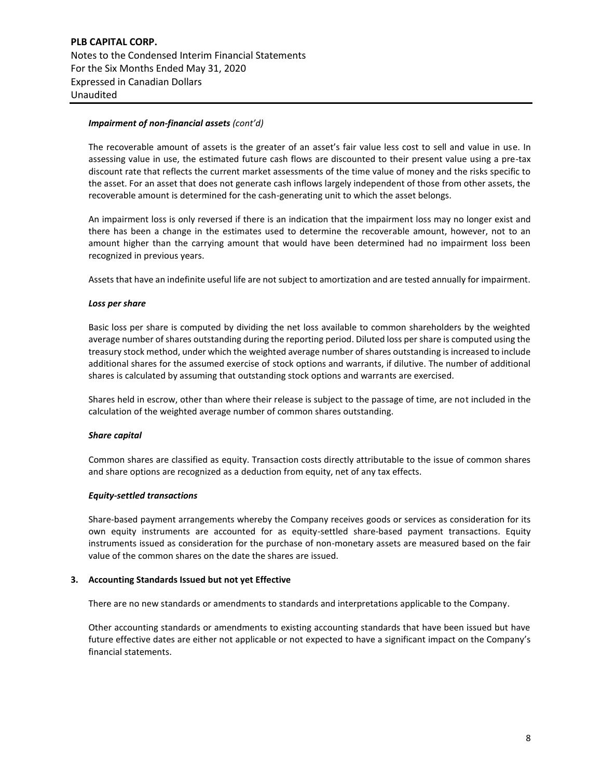**PLB CAPITAL CORP.** Notes to the Condensed Interim Financial Statements For the Six Months Ended May 31, 2020 Expressed in Canadian Dollars Unaudited

# *Impairment of non-financial assets (cont'd)*

The recoverable amount of assets is the greater of an asset's fair value less cost to sell and value in use. In assessing value in use, the estimated future cash flows are discounted to their present value using a pre-tax discount rate that reflects the current market assessments of the time value of money and the risks specific to the asset. For an asset that does not generate cash inflows largely independent of those from other assets, the recoverable amount is determined for the cash-generating unit to which the asset belongs.

An impairment loss is only reversed if there is an indication that the impairment loss may no longer exist and there has been a change in the estimates used to determine the recoverable amount, however, not to an amount higher than the carrying amount that would have been determined had no impairment loss been recognized in previous years.

Assets that have an indefinite useful life are not subject to amortization and are tested annually for impairment.

# *Loss per share*

Basic loss per share is computed by dividing the net loss available to common shareholders by the weighted average number of shares outstanding during the reporting period. Diluted loss per share is computed using the treasury stock method, under which the weighted average number of shares outstanding is increased to include additional shares for the assumed exercise of stock options and warrants, if dilutive. The number of additional shares is calculated by assuming that outstanding stock options and warrants are exercised.

Shares held in escrow, other than where their release is subject to the passage of time, are not included in the calculation of the weighted average number of common shares outstanding.

# *Share capital*

Common shares are classified as equity. Transaction costs directly attributable to the issue of common shares and share options are recognized as a deduction from equity, net of any tax effects.

#### *Equity-settled transactions*

Share-based payment arrangements whereby the Company receives goods or services as consideration for its own equity instruments are accounted for as equity-settled share-based payment transactions. Equity instruments issued as consideration for the purchase of non-monetary assets are measured based on the fair value of the common shares on the date the shares are issued.

# **3. Accounting Standards Issued but not yet Effective**

There are no new standards or amendments to standards and interpretations applicable to the Company.

Other accounting standards or amendments to existing accounting standards that have been issued but have future effective dates are either not applicable or not expected to have a significant impact on the Company's financial statements.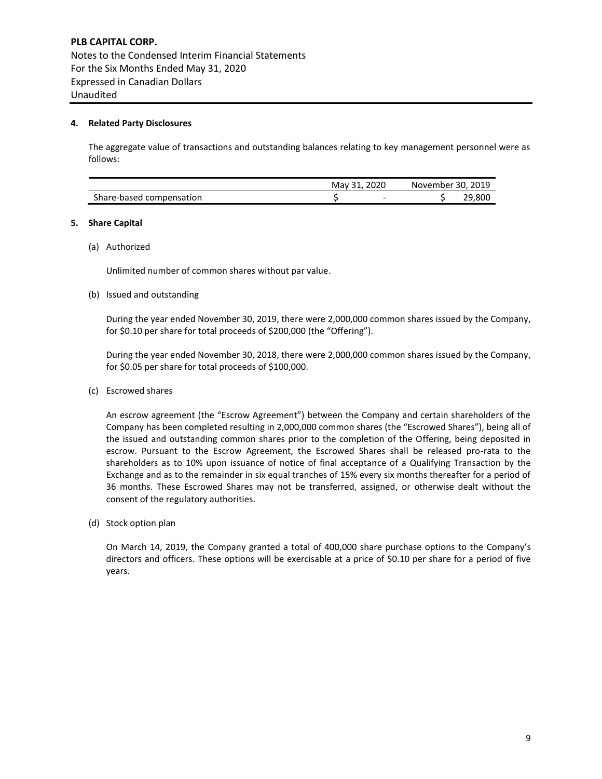# **4. Related Party Disclosures**

The aggregate value of transactions and outstanding balances relating to key management personnel were as follows:

|                          | May 31, 2020 | November 30, 2019 |        |  |
|--------------------------|--------------|-------------------|--------|--|
| Share-based compensation | -            |                   | 29.800 |  |

#### **5. Share Capital**

(a) Authorized

Unlimited number of common shares without par value.

(b) Issued and outstanding

During the year ended November 30, 2019, there were 2,000,000 common shares issued by the Company, for \$0.10 per share for total proceeds of \$200,000 (the "Offering").

During the year ended November 30, 2018, there were 2,000,000 common shares issued by the Company, for \$0.05 per share for total proceeds of \$100,000.

(c) Escrowed shares

An escrow agreement (the "Escrow Agreement") between the Company and certain shareholders of the Company has been completed resulting in 2,000,000 common shares (the "Escrowed Shares"), being all of the issued and outstanding common shares prior to the completion of the Offering, being deposited in escrow. Pursuant to the Escrow Agreement, the Escrowed Shares shall be released pro-rata to the shareholders as to 10% upon issuance of notice of final acceptance of a Qualifying Transaction by the Exchange and as to the remainder in six equal tranches of 15% every six months thereafter for a period of 36 months. These Escrowed Shares may not be transferred, assigned, or otherwise dealt without the consent of the regulatory authorities.

(d) Stock option plan

On March 14, 2019, the Company granted a total of 400,000 share purchase options to the Company's directors and officers. These options will be exercisable at a price of \$0.10 per share for a period of five years.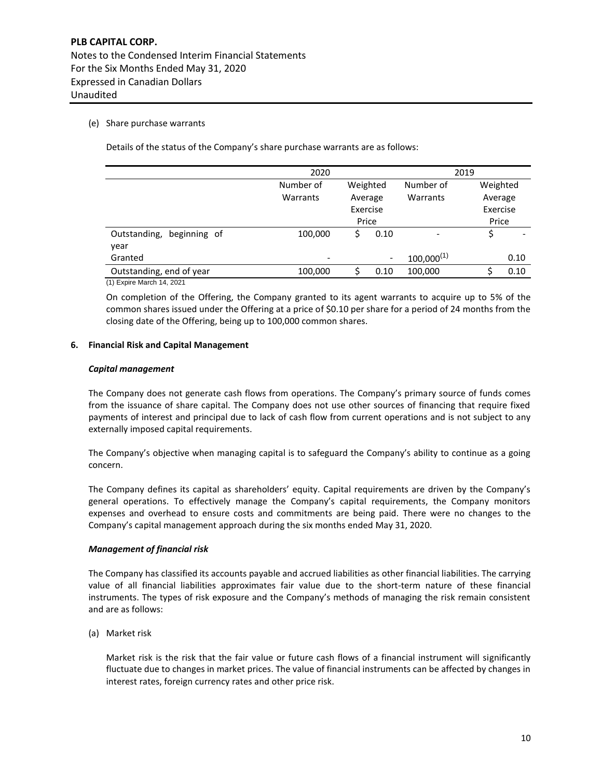# (e) Share purchase warrants

Details of the status of the Company's share purchase warrants are as follows:

|                              | 2020      |          |      | 2019                         |          |      |  |
|------------------------------|-----------|----------|------|------------------------------|----------|------|--|
|                              | Number of | Weighted |      | Number of                    | Weighted |      |  |
|                              | Warrants  | Average  |      | Warrants                     | Average  |      |  |
|                              |           | Exercise |      |                              | Exercise |      |  |
|                              |           | Price    |      |                              | Price    |      |  |
| Outstanding,<br>beginning of | 100,000   | Ś        | 0.10 | $\qquad \qquad \blacksquare$ | \$       |      |  |
| year                         |           |          |      |                              |          |      |  |
| Granted                      |           |          |      | $100,000^{(1)}$              |          | 0.10 |  |
| Outstanding, end of year     | 100,000   |          | 0.10 | 100,000                      |          | 0.10 |  |
| (1) Expire March 14, 2021    |           |          |      |                              |          |      |  |

On completion of the Offering, the Company granted to its agent warrants to acquire up to 5% of the common shares issued under the Offering at a price of \$0.10 per share for a period of 24 months from the closing date of the Offering, being up to 100,000 common shares.

# **6. Financial Risk and Capital Management**

#### *Capital management*

The Company does not generate cash flows from operations. The Company's primary source of funds comes from the issuance of share capital. The Company does not use other sources of financing that require fixed payments of interest and principal due to lack of cash flow from current operations and is not subject to any externally imposed capital requirements.

The Company's objective when managing capital is to safeguard the Company's ability to continue as a going concern.

The Company defines its capital as shareholders' equity. Capital requirements are driven by the Company's general operations. To effectively manage the Company's capital requirements, the Company monitors expenses and overhead to ensure costs and commitments are being paid. There were no changes to the Company's capital management approach during the six months ended May 31, 2020.

# *Management of financial risk*

The Company has classified its accounts payable and accrued liabilities as other financial liabilities. The carrying value of all financial liabilities approximates fair value due to the short-term nature of these financial instruments. The types of risk exposure and the Company's methods of managing the risk remain consistent and are as follows:

(a) Market risk

Market risk is the risk that the fair value or future cash flows of a financial instrument will significantly fluctuate due to changes in market prices. The value of financial instruments can be affected by changes in interest rates, foreign currency rates and other price risk.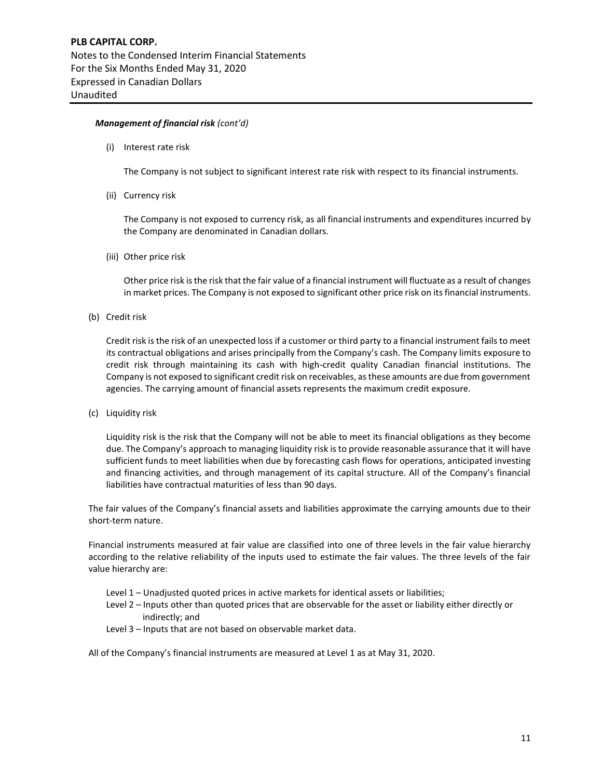# *Management of financial risk (cont'd)*

(i) Interest rate risk

The Company is not subject to significant interest rate risk with respect to its financial instruments.

(ii) Currency risk

The Company is not exposed to currency risk, as all financial instruments and expenditures incurred by the Company are denominated in Canadian dollars.

(iii) Other price risk

Other price risk is the risk that the fair value of a financial instrument will fluctuate as a result of changes in market prices. The Company is not exposed to significant other price risk on its financial instruments.

(b) Credit risk

Credit risk is the risk of an unexpected loss if a customer or third party to a financial instrument fails to meet its contractual obligations and arises principally from the Company's cash. The Company limits exposure to credit risk through maintaining its cash with high-credit quality Canadian financial institutions. The Company is not exposed to significant credit risk on receivables, as these amounts are due from government agencies. The carrying amount of financial assets represents the maximum credit exposure.

(c) Liquidity risk

Liquidity risk is the risk that the Company will not be able to meet its financial obligations as they become due. The Company's approach to managing liquidity risk is to provide reasonable assurance that it will have sufficient funds to meet liabilities when due by forecasting cash flows for operations, anticipated investing and financing activities, and through management of its capital structure. All of the Company's financial liabilities have contractual maturities of less than 90 days.

The fair values of the Company's financial assets and liabilities approximate the carrying amounts due to their short-term nature.

Financial instruments measured at fair value are classified into one of three levels in the fair value hierarchy according to the relative reliability of the inputs used to estimate the fair values. The three levels of the fair value hierarchy are:

- Level 1 Unadjusted quoted prices in active markets for identical assets or liabilities;
- Level 2 Inputs other than quoted prices that are observable for the asset or liability either directly or indirectly; and
- Level 3 Inputs that are not based on observable market data.

All of the Company's financial instruments are measured at Level 1 as at May 31, 2020.